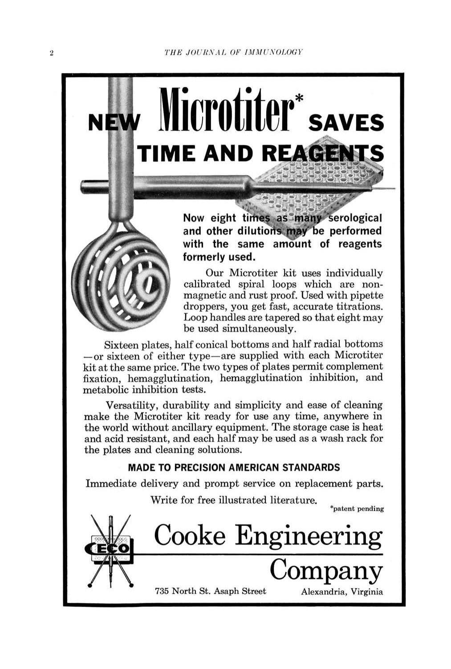

Sixteen plates, half conical bottoms and half radial bottoms -- or sixteen of either type--are supplied with each Microtiter kit at the same price. The two types of plates permit complement fixation, hemagglutination, hemagglutination inhibition, and metabolic inhibition tests.

Versatility, durability and simplicity and ease of cleaning make the Microtiter kit ready for use any time, anywhere in the world without ancillary equipment. The storage case is heat and acid resistant, and each half may be used as a wash rack for the plates and cleaning solutions.

#### **MADE TO PRECISION AMERICAN STANDARDS**

Immediate delivery and prompt service on replacement parts.

Write for free illustrated literature.

\*patent pending

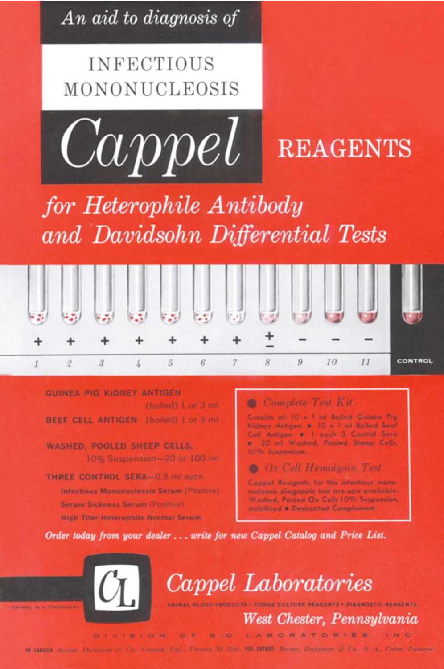*An aid to diagnosis of* 

INFECTIOUS MONONUCLEOSIS



## *for Heterophile Antibody and Davidsohn Differential Tests*



GUINEA PiG KIDNEY ANTIGEN (boiled) I or 3 ml BEEF CELL ANTIGEN (boiled) 1 or 3 ml

**WASHED, POOLED SHEEP CELLS, 10% Suspension--20 or 100 ml** 

THREE CONTROL SERA--0.5 ml each Infectious Mononucleosis Serum (Positive) Serum Sickness Serum (Positive) **High** Titer Heterophile Normal Serum

### *0 Complete Test Kit*

Consists of: 10 **x 1** ml Boiled Guinea Pig Kidney Antigen **• 10 x I** ml Boiled Beef Cell Antigen e I each 3 Control Sera e 20 ml Washed, Pooled Sheep Cells, 10% Suspension,

### *@ Ox Cell Hemolysin Test*

Cappel Reagents for this infectious mononucleosls diagnostic test are now available: Washed, Pooled Ox Cells 10% Suspension, stabilized = Desiccated Complement.

*Order today from your dealer.., write for new Cappel Catalog and Price List.* 



*Cappel Laboratories* 

DIVISION OF B D LABORATORIES, INC.

*West Chester, Pennsylvania* 

CULTURE REAGENTS · DIAGNOSTIC REAGENTS

~H [ARADA: *Becton. I)icki.so~t & Co,, Canada, Ltd. Toronto /0, Ont, FOR* EXPO~{T: *Becton, Dickimon & Co., S. A., Colon. Panamn*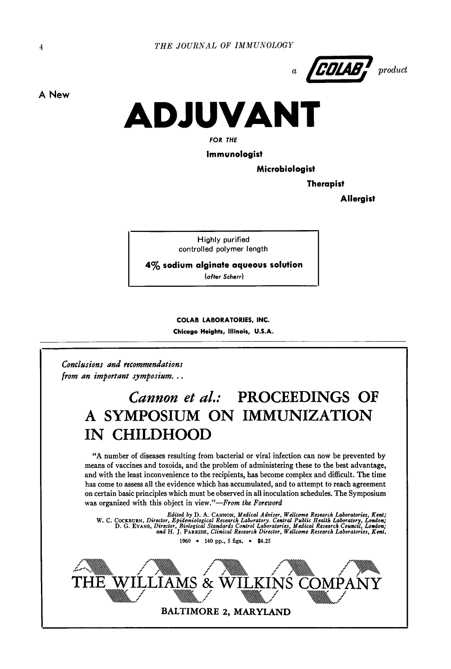

**A New** 

# **ADJUVANT**

*FOR THE* 

**Immunologist** 

**Microbiologist** 

**Therapist** 

**Allergist** 

Highly purified controlled polymer length

**4cr~ sodium alginate aqueous solution**  *(after Scherr)* 

> COLAB LABORATORIES, **INC. Chicago Heights, Illinois,** U.S.A.

*Conclusions and recommendations from an important symposium...* 

### *Cannon et aL:* **PROCEEDINGS OF A SYMPOSIUM ON IMMUNIZATION IN CHILDHOOD**

"A number of diseases resulting from bacterial or viral infection can now be prevented by means of vaccines and toxoids, and the problem of administering these to the best advantage, and with the least inconvenience to the recipients, has become complex and difficult. The time has come to assess all the evidence which has accumulated, and to attempt to reach agreement on certain basic principles which must be observed in all inoculation schedules. The Symposium was organized with this object in *view."--From the Foreword* 

Edited by D. A. CANNON, Medical Adviser, Wellcome Research Laboratories, Kent;<br>W. C. CockBURN, Director, Epidemiological Research Laboratory. Central Public Health Laboratory, London;<br>D. G. Evans, Director, Biological Stan 1960 · 140 pp., 5 figs. · \$4.25

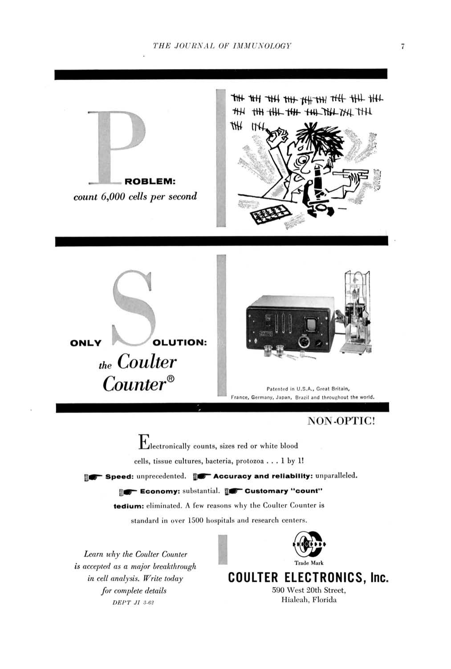

NON-OPTIC!

Electronically counts, sizes red or white blood cells, tissue cultures, bacteria, protozoa... 1 by 1! **Speed: unprecedented. @ Accuracy and reliability: unparalleled. Economy:** substantial. **Let Customary "count" tedium:** eliminated. A few reasons why the Coulter Counter is

standard in over 1500 hospitals and research centers.

*Learn why the Coulter Counter is accepted as a major breakthrough in cell analysis. Write today for complete details DEPT JI 3-62* 



**COULTER ELECTRONICS, Inc.**  590 West 20th Street, Hialeah, Florida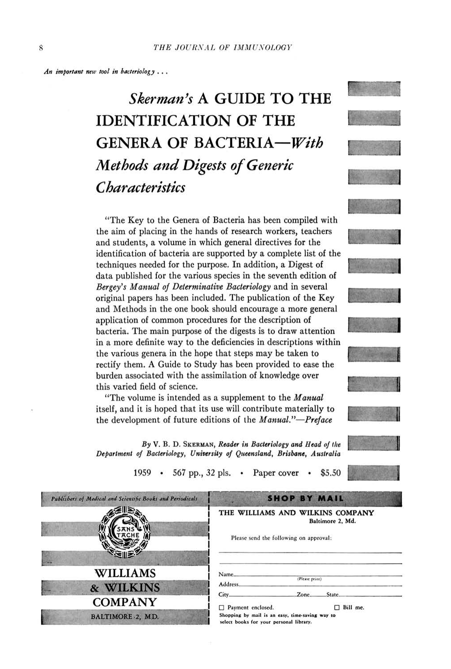*An important new tool in bacteriology...* 

## *Skerman's* **A GUIDE TO THE IDENTIFICATION OF THE GENERA OF BACTERIA** *With Methods and Digests of Generic Characteristics*

"The Key to the Genera of Bacteria has been compiled with the aim of placing in the hands of research workers, teachers and students, a volume in which general directives for the identification of bacteria are supported by a complete list of the techniques needed for the purpose. In addition, a Digest of data published for the various species in the seventh edition of *Bergey's Manual of Determinative Bacteriology* and in several original papers has been included. The publication of the Key and Methods in the one book should encourage a more general application of common procedures for the description of bacteria. The main purpose of the digests is to draw attention in a more definite way to the deficiencies in descriptions within the various genera in the hope that steps may be taken to rectify them. A Guide to Study has been provided to ease the burden associated with the assimilation of knowledge over this varied field of science.

"The volume is intended as a supplement to the *Manual*  itself, and it is hoped that its use will contribute materially to the development of future editions of the *Manual."--Preface* 

 $By V. B. D. SKERMAN, *Reader in Bacteriology and Head of the*$ *Department of Bacteriology, University of Queensland, Brisbane, Australia* 

1959 • 567 pp., 32 pls. • Paper cover • \$5.50

| Publishers of Medical and Scientific Books and Periodicals | <b>SHOP BY MAIL</b>                                                                            |  |
|------------------------------------------------------------|------------------------------------------------------------------------------------------------|--|
|                                                            | THE WILLIAMS AND WILKINS COMPANY<br>Baltimore 2, Md.<br>Please send the following on approval: |  |
| <b>WILLIAMS</b>                                            | Name.<br>(Please print)                                                                        |  |
| & WILKINS                                                  | Address.<br>Zone_<br>State.<br>City.                                                           |  |
| <b>COMPANY</b>                                             | Payment enclosed.<br>Bill me.                                                                  |  |
| BALTIMORE 2, MD.                                           | Shopping by mail is an easy, time-saving way to<br>select books for your personal library.     |  |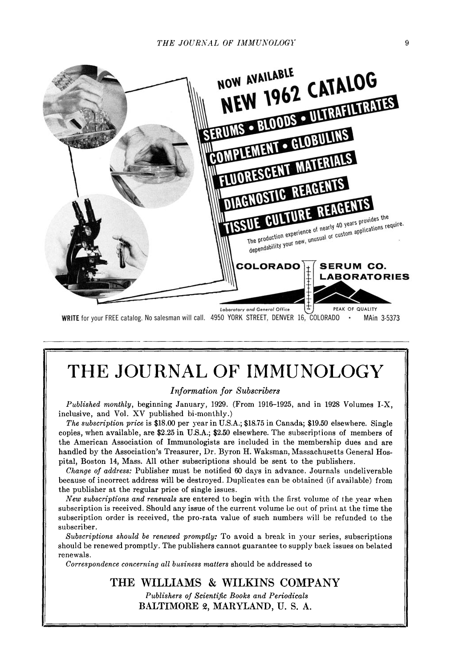

## **THE JOURNAL OF IMMUNOLOGY**

*Information for Subscriber8* 

*Published monthly,* beginning January, 1929. (From 1916-1925, and in 1928 Volumes I-X, inclusive, and Vol. XV published bi-monthly.)

*The subscriplion price* is \$18.00 per year in U.S.A.; \$18.75 in Canada; \$19.50 elsewhere. Single copies, when available, are \$2.25 in U.S.A.; \$2.50 elsewhere. The subscriptions of members of the American Association of Immunologists are included in the membership dues and are handled by the Association's Treasurer, Dr. Byron H. Waksman, Massachusetts General Hospital, Boston 14, Mass. All other subscriptions should be sent to the publishers.

*Change of address:* Publisher must be notified 60 days in advance. Journals undeliverable because of incorrect address will be destroyed. Duplicates can be obtained (if available) from the publisher at the regular price of single issues.

*New subscriptions and renewals* are entered to begin with the first volume of the year when subscription is received. Should any issue of the current volume be out of print at the time the subscription order is received, the pro-rata value of such numbers will be refunded to the subscriber.

*Subscriptions should be renewed promptly:* To avoid a break in your series, subscriptions should be renewed promptly. The publishers cannot guarantee to supply back issues on belated renewals.

*Correspondence concerning all business matters* should be addressed to

**THE WILLIAMS & WILKINS COMPANY** 

*Publishers of Scientific Books and Periodicals*  BALTIMORE 2, MARYLAND, U. S. A.